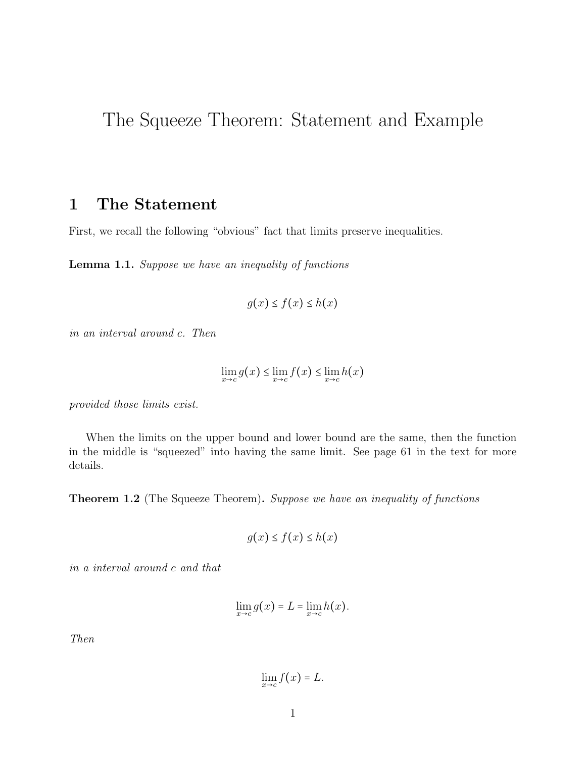## The Squeeze Theorem: Statement and Example

## 1 The Statement

First, we recall the following "obvious" fact that limits preserve inequalities.

Lemma 1.1. Suppose we have an inequality of functions

$$
g(x) \le f(x) \le h(x)
$$

in an interval around c. Then

$$
\lim_{x \to c} g(x) \le \lim_{x \to c} f(x) \le \lim_{x \to c} h(x)
$$

provided those limits exist.

When the limits on the upper bound and lower bound are the same, then the function in the middle is "squeezed" into having the same limit. See page 61 in the text for more details.

Theorem 1.2 (The Squeeze Theorem). Suppose we have an inequality of functions

$$
g(x) \le f(x) \le h(x)
$$

in a interval around c and that

$$
\lim_{x \to c} g(x) = L = \lim_{x \to c} h(x).
$$

Then

$$
\lim_{x\to c} f(x) = L.
$$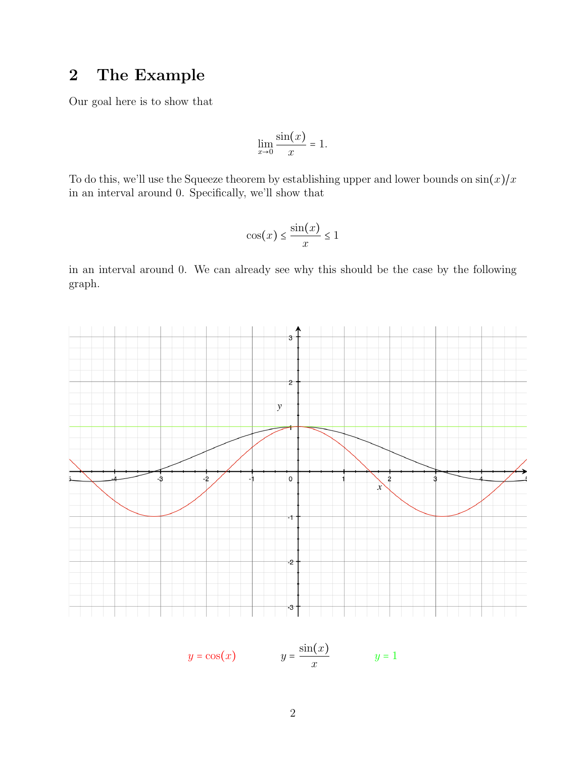## 2 The Example

Our goal here is to show that

$$
\lim_{x \to 0} \frac{\sin(x)}{x} = 1.
$$

To do this, we'll use the Squeeze theorem by establishing upper and lower bounds on  $\sin(x)/x$ in an interval around 0. Specifically, we'll show that

$$
\cos(x) \le \frac{\sin(x)}{x} \le 1
$$

in an interval around 0. We can already see why this should be the case by the following graph.



$$
y = \cos(x) \qquad \qquad y = \frac{\sin(x)}{x} \qquad \qquad y = 1
$$